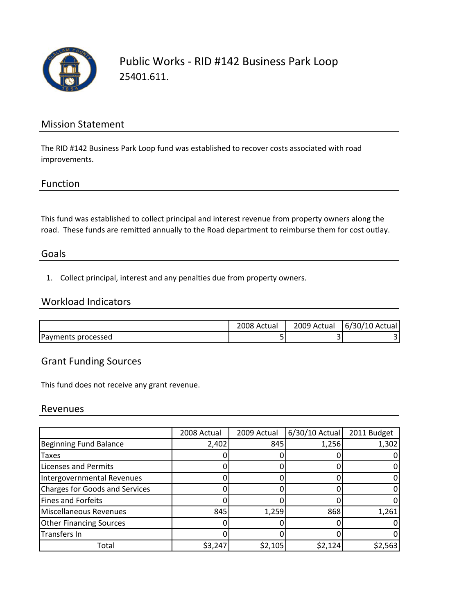

## Mission Statement

The RID #142 Business Park Loop fund was established to recover costs associated with road improvements.

### Function

This fund was established to collect principal and interest revenue from property owners along the road. These funds are remitted annually to the Road department to reimburse them for cost outlay.

### Goals

1. Collect principal, interest and any penalties due from property owners.

## Workload Indicators

|                    | 2008 Actual | 2009 Actual | 6/30/10 Actual |
|--------------------|-------------|-------------|----------------|
| Payments processed |             |             |                |

## Grant Funding Sources

This fund does not receive any grant revenue.

#### Revenues

|                                       | 2008 Actual | 2009 Actual | 6/30/10 Actual | 2011 Budget |
|---------------------------------------|-------------|-------------|----------------|-------------|
| <b>Beginning Fund Balance</b>         | 2,402       | 845         | 1,256          | 1,302       |
| <b>Taxes</b>                          |             |             |                |             |
| <b>Licenses and Permits</b>           |             |             |                |             |
| Intergovernmental Revenues            |             |             |                |             |
| <b>Charges for Goods and Services</b> |             |             |                |             |
| <b>Fines and Forfeits</b>             |             |             |                |             |
| <b>Miscellaneous Revenues</b>         | 845         | 1,259       | 868            | 1,261       |
| <b>Other Financing Sources</b>        |             |             |                |             |
| Transfers In                          |             |             |                |             |
| Total                                 | \$3,247     | \$2,105     | \$2,124        | \$2,563     |